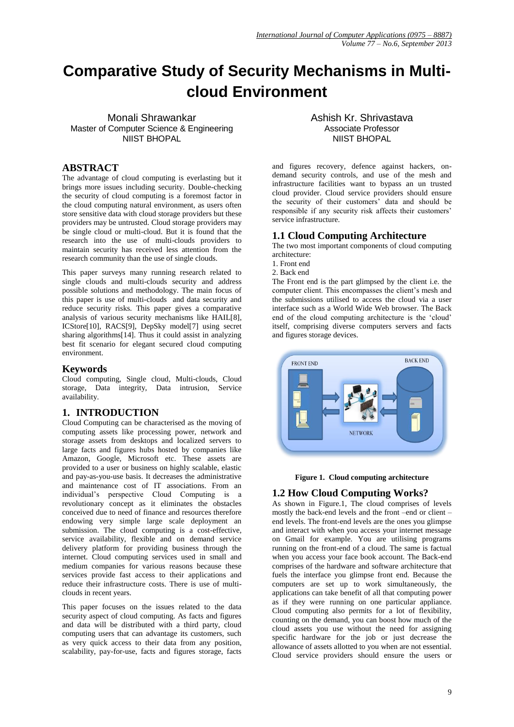# **Comparative Study of Security Mechanisms in Multicloud Environment**

Monali Shrawankar Master of Computer Science & Engineering NIIST BHOPAL

# **ABSTRACT**

The advantage of cloud computing is everlasting but it brings more issues including security. Double-checking the security of cloud computing is a foremost factor in the cloud computing natural environment, as users often store sensitive data with cloud storage providers but these providers may be untrusted. Cloud storage providers may be single cloud or multi-cloud. But it is found that the research into the use of multi-clouds providers to maintain security has received less attention from the research community than the use of single clouds.

This paper surveys many running research related to single clouds and multi-clouds security and address possible solutions and methodology. The main focus of this paper is use of multi-clouds and data security and reduce security risks. This paper gives a comparative analysis of various security mechanisms like HAIL[8], ICStore[10], RACS[9], DepSky model[7] using secret sharing algorithms[14]. Thus it could assist in analyzing best fit scenario for elegant secured cloud computing environment.

# **Keywords**

Cloud computing, Single cloud, Multi-clouds, Cloud storage, Data integrity, Data intrusion, Service availability.

#### **1. INTRODUCTION**

Cloud Computing can be characterised as the moving of computing assets like processing power, network and storage assets from desktops and localized servers to large facts and figures hubs hosted by companies like Amazon, Google, Microsoft etc. These assets are provided to a user or business on highly scalable, elastic and pay-as-you-use basis. It decreases the administrative and maintenance cost of IT associations. From an individual's perspective Cloud Computing is a revolutionary concept as it eliminates the obstacles conceived due to need of finance and resources therefore endowing very simple large scale deployment an submission. The cloud computing is a cost-effective, service availability, flexible and on demand service delivery platform for providing business through the internet. Cloud computing services used in small and medium companies for various reasons because these services provide fast access to their applications and reduce their infrastructure costs. There is use of multiclouds in recent years.

This paper focuses on the issues related to the data security aspect of cloud computing. As facts and figures and data will be distributed with a third party, cloud computing users that can advantage its customers, such as very quick access to their data from any position, scalability, pay-for-use, facts and figures storage, facts Ashish Kr. Shrivastava Associate Professor NIIST BHOPAL

and figures recovery, defence against hackers, ondemand security controls, and use of the mesh and infrastructure facilities want to bypass an un trusted cloud provider. Cloud service providers should ensure the security of their customers' data and should be responsible if any security risk affects their customers' service infrastructure.

# **1.1 Cloud Computing Architecture**

The two most important components of cloud computing architecture:

- 1. Front end
- 2. Back end

The Front end is the part glimpsed by the client i.e. the computer client. This encompasses the client's mesh and the submissions utilised to access the cloud via a user interface such as a World Wide Web browser. The Back end of the cloud computing architecture is the 'cloud' itself, comprising diverse computers servers and facts and figures storage devices.





# **1.2 How Cloud Computing Works?**

As shown in Figure.1, The cloud comprises of levels mostly the back-end levels and the front –end or client – end levels. The front-end levels are the ones you glimpse and interact with when you access your internet message on Gmail for example. You are utilising programs running on the front-end of a cloud. The same is factual when you access your face book account. The Back-end comprises of the hardware and software architecture that fuels the interface you glimpse front end. Because the computers are set up to work simultaneously, the applications can take benefit of all that computing power as if they were running on one particular appliance. Cloud computing also permits for a lot of flexibility, counting on the demand, you can boost how much of the cloud assets you use without the need for assigning specific hardware for the job or just decrease the allowance of assets allotted to you when are not essential. Cloud service providers should ensure the users or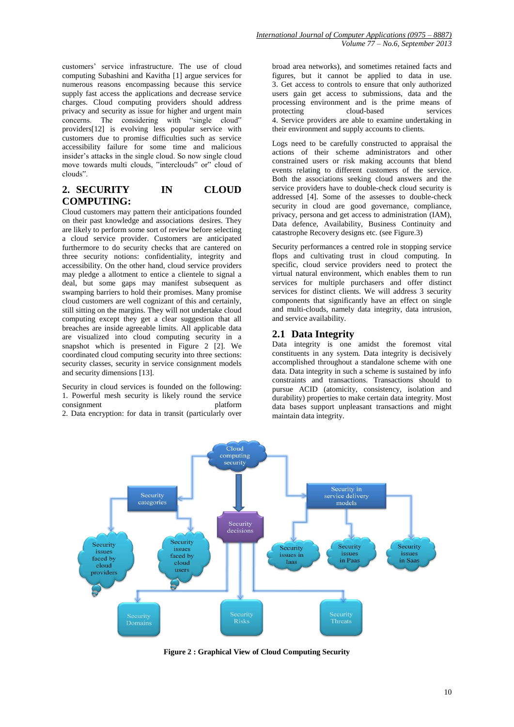customers' service infrastructure. The use of cloud computing Subashini and Kavitha [1] argue services for numerous reasons encompassing because this service supply fast access the applications and decrease service charges. Cloud computing providers should address privacy and security as issue for higher and urgent main concerns. The considering with "single cloud" providers[12] is evolving less popular service with customers due to promise difficulties such as service accessibility failure for some time and malicious insider's attacks in the single cloud. So now single cloud move towards multi clouds, "interclouds" or" cloud of clouds".

# **2. SECURITY IN CLOUD COMPUTING:**

Cloud customers may pattern their anticipations founded on their past knowledge and associations desires. They are likely to perform some sort of review before selecting a cloud service provider. Customers are anticipated furthermore to do security checks that are cantered on three security notions: confidentiality, integrity and accessibility. On the other hand, cloud service providers may pledge a allotment to entice a clientele to signal a deal, but some gaps may manifest subsequent as swamping barriers to hold their promises. Many promise cloud customers are well cognizant of this and certainly, still sitting on the margins. They will not undertake cloud computing except they get a clear suggestion that all breaches are inside agreeable limits. All applicable data are visualized into cloud computing security in a snapshot which is presented in Figure 2 [2]. We coordinated cloud computing security into three sections: security classes, security in service consignment models and security dimensions [13].

Security in cloud services is founded on the following: 1. Powerful mesh security is likely round the service consignment platform

2. Data encryption: for data in transit (particularly over

broad area networks), and sometimes retained facts and figures, but it cannot be applied to data in use. 3. Get access to controls to ensure that only authorized users gain get access to submissions, data and the processing environment and is the prime means of protecting cloud-based services 4. Service providers are able to examine undertaking in their environment and supply accounts to clients.

Logs need to be carefully constructed to appraisal the actions of their scheme administrators and other constrained users or risk making accounts that blend events relating to different customers of the service. Both the associations seeking cloud answers and the service providers have to double-check cloud security is addressed [4]. Some of the assesses to double-check security in cloud are good governance, compliance, privacy, persona and get access to administration (IAM), Data defence, Availability, Business Continuity and catastrophe Recovery designs etc. (see Figure.3)

Security performances a centred role in stopping service flops and cultivating trust in cloud computing. In specific, cloud service providers need to protect the virtual natural environment, which enables them to run services for multiple purchasers and offer distinct services for distinct clients. We will address 3 security components that significantly have an effect on single and multi-clouds, namely data integrity, data intrusion, and service availability.

#### **2.1 Data Integrity**

Data integrity is one amidst the foremost vital constituents in any system. Data integrity is decisively accomplished throughout a standalone scheme with one data. Data integrity in such a scheme is sustained by info constraints and transactions. Transactions should to pursue ACID (atomicity, consistency, isolation and durability) properties to make certain data integrity. Most data bases support unpleasant transactions and might maintain data integrity.



**Figure 2 : Graphical View of Cloud Computing Security**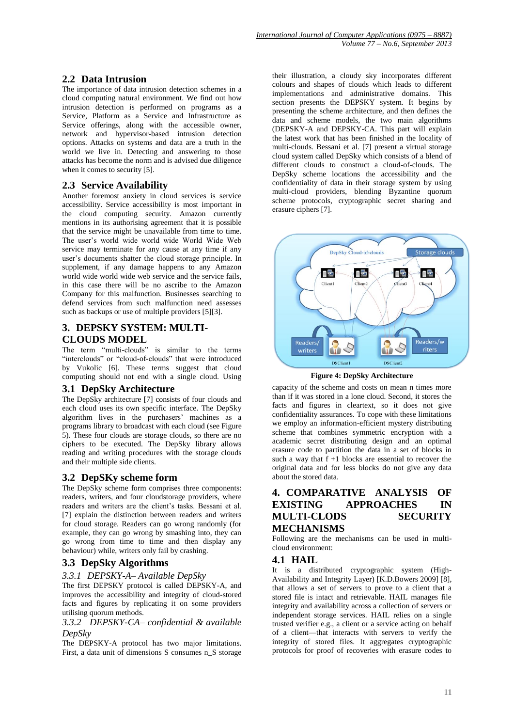# **2.2 Data Intrusion**

The importance of data intrusion detection schemes in a cloud computing natural environment. We find out how intrusion detection is performed on programs as a Service, Platform as a Service and Infrastructure as Service offerings, along with the accessible owner, network and hypervisor-based intrusion detection options. Attacks on systems and data are a truth in the world we live in. Detecting and answering to those attacks has become the norm and is advised due diligence when it comes to security [5].

#### **2.3 Service Availability**

Another foremost anxiety in cloud services is service accessibility. Service accessibility is most important in the cloud computing security. Amazon currently mentions in its authorising agreement that it is possible that the service might be unavailable from time to time. The user's world wide world wide World Wide Web service may terminate for any cause at any time if any user's documents shatter the cloud storage principle. In supplement, if any damage happens to any Amazon world wide world wide web service and the service fails, in this case there will be no ascribe to the Amazon Company for this malfunction. Businesses searching to defend services from such malfunction need assesses such as backups or use of multiple providers [5][3].

## **3. DEPSKY SYSTEM: MULTI-CLOUDS MODEL**

The term "multi-clouds" is similar to the terms "interclouds" or "cloud-of-clouds" that were introduced by Vukolic [6]. These terms suggest that cloud computing should not end with a single cloud. Using

#### **3.1 DepSky Architecture**

The DepSky architecture [7] consists of four clouds and each cloud uses its own specific interface. The DepSky algorithm lives in the purchasers' machines as a programs library to broadcast with each cloud (see Figure 5). These four clouds are storage clouds, so there are no ciphers to be executed. The DepSky library allows reading and writing procedures with the storage clouds and their multiple side clients.

#### **3.2 DepSKy scheme form**

The DepSky scheme form comprises three components: readers, writers, and four cloudstorage providers, where readers and writers are the client's tasks. Bessani et al. [7] explain the distinction between readers and writers for cloud storage. Readers can go wrong randomly (for example, they can go wrong by smashing into, they can go wrong from time to time and then display any behaviour) while, writers only fail by crashing.

# **3.3 DepSky Algorithms**

#### *3.3.1 DEPSKY-A– Available DepSky*

The first DEPSKY protocol is called DEPSKY-A, and improves the accessibility and integrity of cloud-stored facts and figures by replicating it on some providers utilising quorum methods.

*3.3.2 DEPSKY-CA– confidential & available DepSky*

The DEPSKY-A protocol has two major limitations. First, a data unit of dimensions S consumes n\_S storage

their illustration, a cloudy sky incorporates different colours and shapes of clouds which leads to different implementations and administrative domains. This section presents the DEPSKY system. It begins by presenting the scheme architecture, and then defines the data and scheme models, the two main algorithms (DEPSKY-A and DEPSKY-CA. This part will explain the latest work that has been finished in the locality of multi-clouds. Bessani et al. [7] present a virtual storage cloud system called DepSky which consists of a blend of different clouds to construct a cloud-of-clouds. The DepSky scheme locations the accessibility and the confidentiality of data in their storage system by using multi-cloud providers, blending Byzantine quorum scheme protocols, cryptographic secret sharing and erasure ciphers [7].



**Figure 4: DepSky Architecture**

capacity of the scheme and costs on mean n times more than if it was stored in a lone cloud. Second, it stores the facts and figures in cleartext, so it does not give confidentiality assurances. To cope with these limitations we employ an information-efficient mystery distributing scheme that combines symmetric encryption with a academic secret distributing design and an optimal erasure code to partition the data in a set of blocks in such a way that  $f + 1$  blocks are essential to recover the original data and for less blocks do not give any data about the stored data.

# **4. COMPARATIVE ANALYSIS OF EXISTING APPROACHES IN MULTI-CLODS SECURITY MECHANISMS**

Following are the mechanisms can be used in multicloud environment:

#### **4.1 HAIL**

It is a distributed cryptographic system (High-Availability and Integrity Layer) [K.D.Bowers 2009] [8], that allows a set of servers to prove to a client that a stored file is intact and retrievable. HAIL manages file integrity and availability across a collection of servers or independent storage services. HAIL relies on a single trusted verifier e.g., a client or a service acting on behalf of a client—that interacts with servers to verify the integrity of stored files. It aggregates cryptographic protocols for proof of recoveries with erasure codes to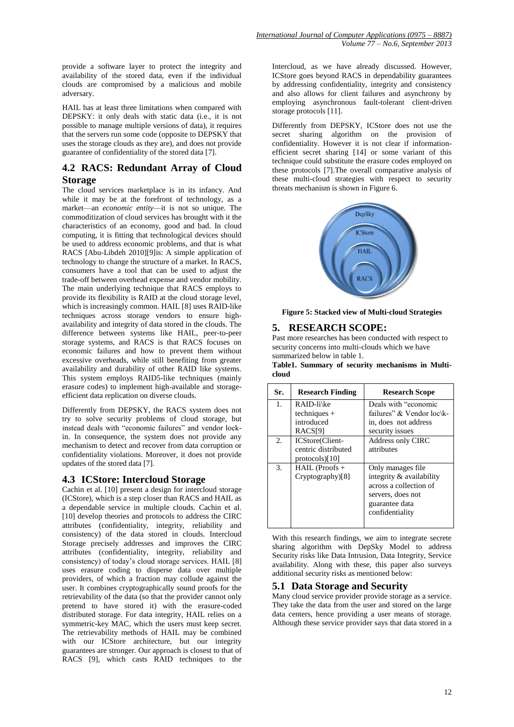provide a software layer to protect the integrity and availability of the stored data, even if the individual clouds are compromised by a malicious and mobile adversary.

HAIL has at least three limitations when compared with DEPSKY: it only deals with static data (i.e., it is not possible to manage multiple versions of data), it requires that the servers run some code (opposite to DEPSKY that uses the storage clouds as they are), and does not provide guarantee of confidentiality of the stored data [7].

#### **4.2 RACS: Redundant Array of Cloud Storage**

The cloud services marketplace is in its infancy. And while it may be at the forefront of technology, as a market—an *economic entity*—it is not so unique. The commoditization of cloud services has brought with it the characteristics of an economy, good and bad. In cloud computing, it is fitting that technological devices should be used to address economic problems, and that is what RACS [Abu-Libdeh 2010][9][s: A simple application of technology to change the structure of a market. In RACS, consumers have a tool that can be used to adjust the trade-off between overhead expense and vendor mobility. The main underlying technique that RACS employs to provide its flexibility is RAID at the cloud storage level, which is increasingly common. HAIL [8] uses RAID-like techniques across storage vendors to ensure highavailability and integrity of data stored in the clouds. The difference between systems like HAIL, peer-to-peer storage systems, and RACS is that RACS focuses on economic failures and how to prevent them without excessive overheads, while still benefiting from greater availability and durability of other RAID like systems. This system employs RAID5-like techniques (mainly erasure codes) to implement high-available and storageefficient data replication on diverse clouds.

Differently from DEPSKY, the RACS system does not try to solve security problems of cloud storage, but instead deals with "economic failures" and vendor lockin. In consequence, the system does not provide any mechanism to detect and recover from data corruption or confidentiality violations. Moreover, it does not provide updates of the stored data [7].

#### **4.3 ICStore: Intercloud Storage**

Cachin et al. [10] present a design for intercloud storage (ICStore), which is a step closer than RACS and HAIL as a dependable service in multiple clouds. Cachin et al. [10] develop theories and protocols to address the CIRC attributes (confidentiality, integrity, reliability and consistency) of the data stored in clouds. Intercloud Storage precisely addresses and improves the CIRC attributes (confidentiality, integrity, reliability and consistency) of today's cloud storage services. HAIL [8] uses erasure coding to disperse data over multiple providers, of which a fraction may collude against the user. It combines cryptographically sound proofs for the retrievability of the data (so that the provider cannot only pretend to have stored it) with the erasure-coded distributed storage. For data integrity, HAIL relies on a symmetric-key MAC, which the users must keep secret. The retrievability methods of HAIL may be combined with our ICStore architecture, but our integrity guarantees are stronger. Our approach is closest to that of RACS [9], which casts RAID techniques to the

Intercloud, as we have already discussed. However, ICStore goes beyond RACS in dependability guarantees by addressing confidentiality, integrity and consistency and also allows for client failures and asynchrony by employing asynchronous fault-tolerant client-driven storage protocols [11].

Differently from DEPSKY, ICStore does not use the secret sharing algorithm on the provision of confidentiality. However it is not clear if informationefficient secret sharing [14] or some variant of this technique could substitute the erasure codes employed on these protocols [7].The overall comparative analysis of these multi-cloud strategies with respect to security threats mechanism is shown in Figure 6.



**Figure 5: Stacked view of Multi-cloud Strategies**

## **5. RESEARCH SCOPE:**

Past more researches has been conducted with respect to security concerns into multi-clouds which we have summarized below in table 1.

**Table1. Summary of security mechanisms in Multicloud**

| Sr. | <b>Research Finding</b> | <b>Research Scope</b>     |
|-----|-------------------------|---------------------------|
| 1.  | RAID-li\ke              | Deals with "economic      |
|     | $techniques +$          | failures" & Vendor loc\k- |
|     | introduced              | in, does not address      |
|     | RACS <sup>[9]</sup>     | security issues           |
| 2.  | ICStore(Client-         | <b>Address only CIRC</b>  |
|     | centric distributed     | attributes                |
|     | protocols) $[10]$       |                           |
| 3.  | $HAL (Proofs +$         | Only manages file.        |
|     | Cryptography)[8]        | integrity & availability  |
|     |                         | across a collection of    |
|     |                         | servers, does not         |
|     |                         | guarantee data            |
|     |                         | confidentiality           |
|     |                         |                           |

With this research findings, we aim to integrate secrete sharing algorithm with DepSky Model to address Security risks like Data Intrusion, Data Integrity, Service availability. Along with these, this paper also surveys additional security risks as mentioned below:

#### **5.1 Data Storage and Security**

Many cloud service provider provide storage as a service. They take the data from the user and stored on the large data centers, hence providing a user means of storage. Although these service provider says that data stored in a